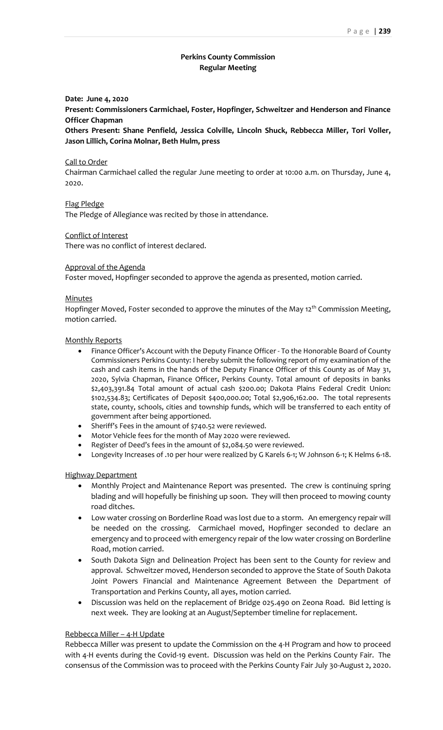# **Perkins County Commission Regular Meeting**

### **Date: June 4, 2020**

**Present: Commissioners Carmichael, Foster, Hopfinger, Schweitzer and Henderson and Finance Officer Chapman**

**Others Present: Shane Penfield, Jessica Colville, Lincoln Shuck, Rebbecca Miller, Tori Voller, Jason Lillich, Corina Molnar, Beth Hulm, press**

#### Call to Order

Chairman Carmichael called the regular June meeting to order at 10:00 a.m. on Thursday, June 4, 2020.

# Flag Pledge

The Pledge of Allegiance was recited by those in attendance.

### Conflict of Interest

There was no conflict of interest declared.

### Approval of the Agenda

Foster moved, Hopfinger seconded to approve the agenda as presented, motion carried.

#### **Minutes**

Hopfinger Moved, Foster seconded to approve the minutes of the May 12<sup>th</sup> Commission Meeting, motion carried.

#### Monthly Reports

- Finance Officer's Account with the Deputy Finance Officer To the Honorable Board of County Commissioners Perkins County: I hereby submit the following report of my examination of the cash and cash items in the hands of the Deputy Finance Officer of this County as of May 31, 2020, Sylvia Chapman, Finance Officer, Perkins County. Total amount of deposits in banks \$2,403,391.84 Total amount of actual cash \$200.00; Dakota Plains Federal Credit Union: \$102,534.83; Certificates of Deposit \$400,000.00; Total \$2,906,162.00. The total represents state, county, schools, cities and township funds, which will be transferred to each entity of government after being apportioned.
- Sheriff's Fees in the amount of \$740.52 were reviewed.
- Motor Vehicle fees for the month of May 2020 were reviewed.
- Register of Deed's fees in the amount of \$2,084.50 were reviewed.
- Longevity Increases of .10 per hour were realized by G Karels 6-1; W Johnson 6-1; K Helms 6-18.

### Highway Department

- Monthly Project and Maintenance Report was presented. The crew is continuing spring blading and will hopefully be finishing up soon. They will then proceed to mowing county road ditches.
- Low water crossing on Borderline Road was lost due to a storm. An emergency repair will be needed on the crossing. Carmichael moved, Hopfinger seconded to declare an emergency and to proceed with emergency repair of the low water crossing on Borderline Road, motion carried.
- South Dakota Sign and Delineation Project has been sent to the County for review and approval. Schweitzer moved, Henderson seconded to approve the State of South Dakota Joint Powers Financial and Maintenance Agreement Between the Department of Transportation and Perkins County, all ayes, motion carried.
- Discussion was held on the replacement of Bridge 025.490 on Zeona Road. Bid letting is next week. They are looking at an August/September timeline for replacement.

#### Rebbecca Miller – 4-H Update

Rebbecca Miller was present to update the Commission on the 4-H Program and how to proceed with 4-H events during the Covid-19 event. Discussion was held on the Perkins County Fair. The consensus of the Commission was to proceed with the Perkins County Fair July 30-August 2, 2020.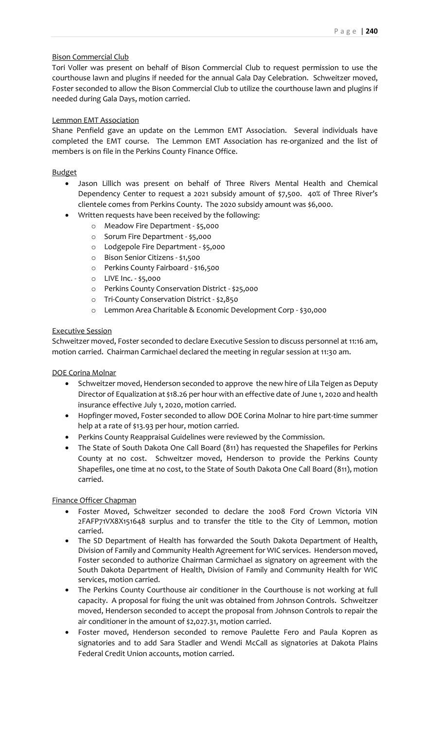# Bison Commercial Club

Tori Voller was present on behalf of Bison Commercial Club to request permission to use the courthouse lawn and plugins if needed for the annual Gala Day Celebration. Schweitzer moved, Foster seconded to allow the Bison Commercial Club to utilize the courthouse lawn and plugins if needed during Gala Days, motion carried.

### Lemmon EMT Association

Shane Penfield gave an update on the Lemmon EMT Association. Several individuals have completed the EMT course. The Lemmon EMT Association has re-organized and the list of members is on file in the Perkins County Finance Office.

### Budget

- Jason Lillich was present on behalf of Three Rivers Mental Health and Chemical Dependency Center to request a 2021 subsidy amount of \$7,500. 40% of Three River's clientele comes from Perkins County. The 2020 subsidy amount was \$6,000.
- Written requests have been received by the following:
	- o Meadow Fire Department \$5,000
	- o Sorum Fire Department \$5,000
	- o Lodgepole Fire Department \$5,000
	- o Bison Senior Citizens \$1,500
	- o Perkins County Fairboard \$16,500
	- o LIVE Inc. \$5,000
	- o Perkins County Conservation District \$25,000
	- o Tri-County Conservation District \$2,850
	- o Lemmon Area Charitable & Economic Development Corp \$30,000

# Executive Session

Schweitzer moved, Foster seconded to declare Executive Session to discuss personnel at 11:16 am, motion carried. Chairman Carmichael declared the meeting in regular session at 11:30 am.

DOE Corina Molnar

- Schweitzer moved, Henderson seconded to approve the new hire of Lila Teigen as Deputy Director of Equalization at \$18.26 per hour with an effective date of June 1, 2020 and health insurance effective July 1, 2020, motion carried.
- Hopfinger moved, Foster seconded to allow DOE Corina Molnar to hire part-time summer help at a rate of \$13.93 per hour, motion carried.
- Perkins County Reappraisal Guidelines were reviewed by the Commission.
- The State of South Dakota One Call Board (811) has requested the Shapefiles for Perkins County at no cost. Schweitzer moved, Henderson to provide the Perkins County Shapefiles, one time at no cost, to the State of South Dakota One Call Board (811), motion carried.

Finance Officer Chapman

- Foster Moved, Schweitzer seconded to declare the 2008 Ford Crown Victoria VIN 2FAFP71VX8X151648 surplus and to transfer the title to the City of Lemmon, motion carried.
- The SD Department of Health has forwarded the South Dakota Department of Health, Division of Family and Community Health Agreement for WIC services. Henderson moved, Foster seconded to authorize Chairman Carmichael as signatory on agreement with the South Dakota Department of Health, Division of Family and Community Health for WIC services, motion carried.
- The Perkins County Courthouse air conditioner in the Courthouse is not working at full capacity. A proposal for fixing the unit was obtained from Johnson Controls. Schweitzer moved, Henderson seconded to accept the proposal from Johnson Controls to repair the air conditioner in the amount of \$2,027.31, motion carried.
- Foster moved, Henderson seconded to remove Paulette Fero and Paula Kopren as signatories and to add Sara Stadler and Wendi McCall as signatories at Dakota Plains Federal Credit Union accounts, motion carried.